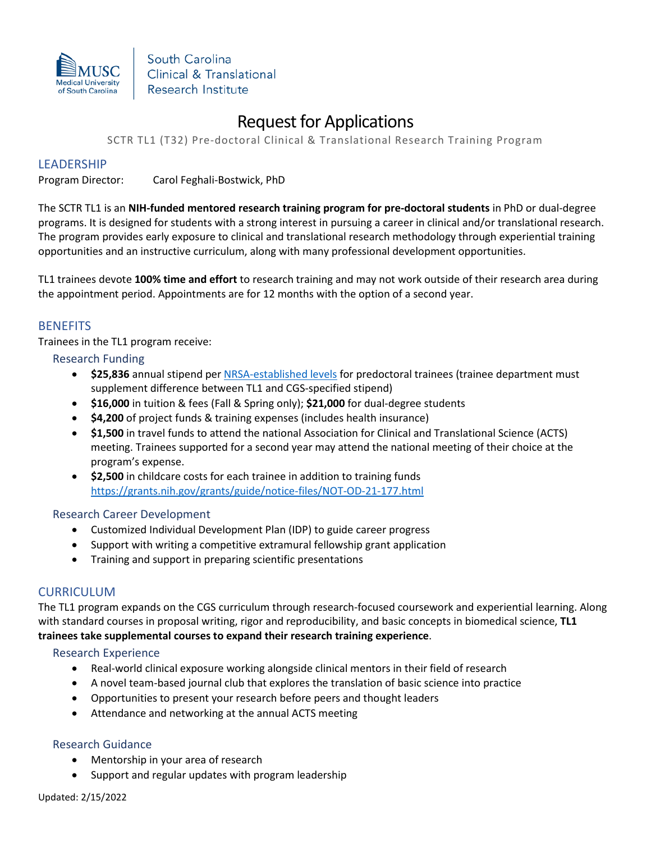

South Carolina Clinical & Translational Research Institute

# Request for Applications

SCTR TL1 (T32) Pre-doctoral Clinical & Translational Research Training Program

### LEADERSHIP

Program Director: Carol Feghali-Bostwick, PhD

The SCTR TL1 is an **NIH-funded mentored research training program for pre-doctoral students** in PhD or dual-degree programs. It is designed for students with a strong interest in pursuing a career in clinical and/or translational research. The program provides early exposure to clinical and translational research methodology through experiential training opportunities and an instructive curriculum, along with many professional development opportunities.

TL1 trainees devote **100% time and effort** to research training and may not work outside of their research area during the appointment period. Appointments are for 12 months with the option of a second year.

## **BENEFITS**

Trainees in the TL1 program receive:

#### Research Funding

- **\$25,836** annual stipend pe[r NRSA-established levels](https://grants.nih.gov/grants/guide/notice-files/NOT-OD-21-049.html) for predoctoral trainees (trainee department must supplement difference between TL1 and CGS-specified stipend)
- **\$16,000** in tuition & fees (Fall & Spring only); **\$21,000** for dual-degree students
- **\$4,200** of project funds & training expenses (includes health insurance)
- **\$1,500** in travel funds to attend the national Association for Clinical and Translational Science (ACTS) meeting. Trainees supported for a second year may attend the national meeting of their choice at the program's expense.
- **\$2,500** in childcare costs for each trainee in addition to training funds <https://grants.nih.gov/grants/guide/notice-files/NOT-OD-21-177.html>

#### Research Career Development

- Customized Individual Development Plan (IDP) to guide career progress
- Support with writing a competitive extramural fellowship grant application
- Training and support in preparing scientific presentations

## CURRICULUM

The TL1 program expands on the CGS curriculum through research-focused coursework and experiential learning. Along with standard courses in proposal writing, rigor and reproducibility, and basic concepts in biomedical science, **TL1 trainees take supplemental courses to expand their research training experience**.

#### Research Experience

- Real-world clinical exposure working alongside clinical mentors in their field of research
- A novel team-based journal club that explores the translation of basic science into practice
- Opportunities to present your research before peers and thought leaders
- Attendance and networking at the annual ACTS meeting

#### Research Guidance

- Mentorship in your area of research
- Support and regular updates with program leadership